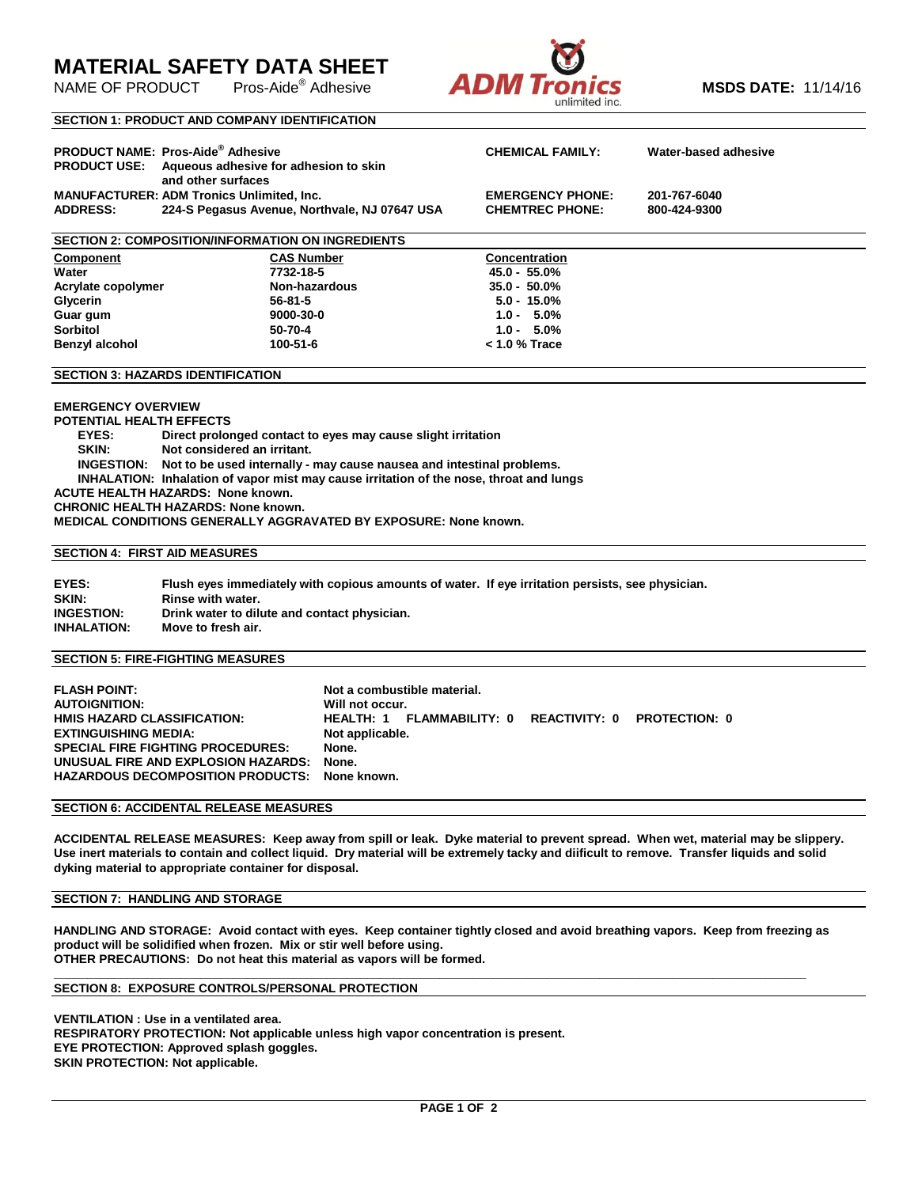# **MATERIAL SAFETY DATA SHEET**

NAME OF PRODUCT



### **SECTION 1: PRODUCT AND COMPANY IDENTIFICATION**

| <b>PRODUCT USE:</b>                                              | <b>PRODUCT NAME: Pros-Aide<sup>®</sup> Adhesive</b><br>Aqueous adhesive for adhesion to skin<br>and other surfaces | <b>CHEMICAL FAMILY:</b>                | Water-based adhesive |  |  |  |  |
|------------------------------------------------------------------|--------------------------------------------------------------------------------------------------------------------|----------------------------------------|----------------------|--|--|--|--|
|                                                                  | <b>MANUFACTURER: ADM Tronics Unlimited, Inc.</b>                                                                   | <b>EMERGENCY PHONE:</b>                | 201-767-6040         |  |  |  |  |
| 224-S Pegasus Avenue, Northvale, NJ 07647 USA<br><b>ADDRESS:</b> |                                                                                                                    | <b>CHEMTREC PHONE:</b><br>800-424-9300 |                      |  |  |  |  |
|                                                                  |                                                                                                                    |                                        |                      |  |  |  |  |
| <b>SECTION 2: COMPOSITION/INFORMATION ON INGREDIENTS</b>         |                                                                                                                    |                                        |                      |  |  |  |  |
| <b>Component</b>                                                 | <b>CAS Number</b>                                                                                                  | <b>Concentration</b>                   |                      |  |  |  |  |
| Water                                                            | 7732-18-5                                                                                                          | $45.0 - 55.0\%$                        |                      |  |  |  |  |
| Acrylate copolymer                                               | Non-hazardous                                                                                                      | $35.0 - 50.0\%$                        |                      |  |  |  |  |
| Glycerin                                                         | 56-81-5                                                                                                            | $5.0 - 15.0\%$                         |                      |  |  |  |  |
| Guar gum                                                         | 9000-30-0                                                                                                          | $1.0 - 5.0\%$                          |                      |  |  |  |  |
| <b>Sorbitol</b>                                                  | 50-70-4                                                                                                            | $1.0 - 5.0\%$                          |                      |  |  |  |  |
| <b>Benzyl alcohol</b>                                            | 100-51-6                                                                                                           | $< 1.0 %$ Trace                        |                      |  |  |  |  |

#### **SECTION 3: HAZARDS IDENTIFICATION**

### **EMERGENCY OVERVIEW**

**POTENTIAL HEALTH EFFECTS**

 **EYES: Direct prolonged contact to eyes may cause slight irritation**

 **SKIN: Not considered an irritant.**

 **INGESTION: Not to be used internally - may cause nausea and intestinal problems.**

 **INHALATION: Inhalation of vapor mist may cause irritation of the nose, throat and lungs**

**ACUTE HEALTH HAZARDS: None known.**

**CHRONIC HEALTH HAZARDS: None known.**

**MEDICAL CONDITIONS GENERALLY AGGRAVATED BY EXPOSURE: None known.**

### **SECTION 4: FIRST AID MEASURES**

| EYES:              | Flush eves immediately with copious amounts of water. If eve irritation persists, see physician, |
|--------------------|--------------------------------------------------------------------------------------------------|
| SKIN:              | Rinse with water.                                                                                |
| <b>INGESTION:</b>  | Drink water to dilute and contact physician.                                                     |
| <b>INHALATION:</b> | Move to fresh air.                                                                               |

### **SECTION 5: FIRE-FIGHTING MEASURES**

| <b>FLASH POINT:</b><br><b>AUTOIGNITION:</b>   | Not a combustible material.<br>Will not occur. |                                                       |  |  |  |
|-----------------------------------------------|------------------------------------------------|-------------------------------------------------------|--|--|--|
| HMIS HAZARD CLASSIFICATION:                   |                                                | HEALTH: 1 FLAMMABILITY: 0 REACTIVITY: 0 PROTECTION: 0 |  |  |  |
| <b>EXTINGUISHING MEDIA:</b>                   | Not applicable.                                |                                                       |  |  |  |
| <b>SPECIAL FIRE FIGHTING PROCEDURES:</b>      | None.                                          |                                                       |  |  |  |
| UNUSUAL FIRE AND EXPLOSION HAZARDS:           | None.                                          |                                                       |  |  |  |
| HAZARDOUS DECOMPOSITION PRODUCTS: None known. |                                                |                                                       |  |  |  |

### **SECTION 6: ACCIDENTAL RELEASE MEASURES**

**ACCIDENTAL RELEASE MEASURES: Keep away from spill or leak. Dyke material to prevent spread. When wet, material may be slippery. Use inert materials to contain and collect liquid. Dry material will be extremely tacky and diificult to remove. Transfer liquids and solid dyking material to appropriate container for disposal.**

### **SECTION 7: HANDLING AND STORAGE**

**HANDLING AND STORAGE: Avoid contact with eyes. Keep container tightly closed and avoid breathing vapors. Keep from freezing as product will be solidified when frozen. Mix or stir well before using. OTHER PRECAUTIONS: Do not heat this material as vapors will be formed.**

**\_\_\_\_\_\_\_\_\_\_\_\_\_\_\_\_\_\_\_\_\_\_\_\_\_\_\_\_\_\_\_\_\_\_\_\_\_\_\_\_\_\_\_\_\_\_\_\_\_\_\_\_\_\_\_\_\_\_\_\_\_\_\_\_\_\_\_\_\_\_\_\_\_\_\_\_\_\_\_\_\_\_\_\_\_\_\_\_\_\_\_\_\_\_\_\_\_\_\_\_\_\_\_\_\_\_\_\_\_\_\_\_\_**

### **SECTION 8: EXPOSURE CONTROLS/PERSONAL PROTECTION**

**VENTILATION : Use in a ventilated area. RESPIRATORY PROTECTION: Not applicable unless high vapor concentration is present. EYE PROTECTION: Approved splash goggles. SKIN PROTECTION: Not applicable.**